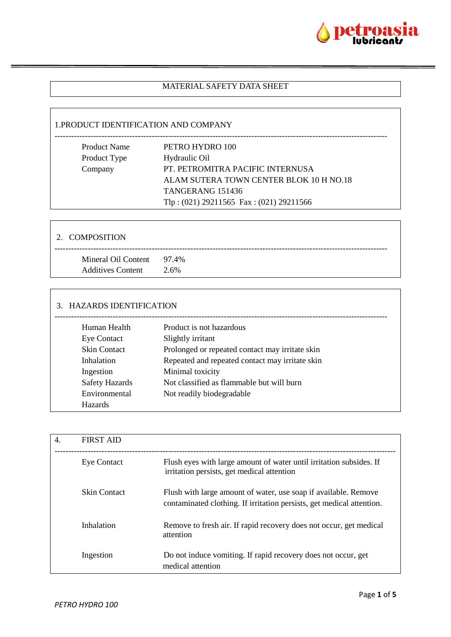

### MATERIAL SAFETY DATA SHEET

### 1.PRODUCT IDENTIFICATION AND COMPANY

| <b>Product Name</b> | PETRO HYDRO 100                             |
|---------------------|---------------------------------------------|
| Product Type        | Hydraulic Oil                               |
| Company             | PT. PETROMITRA PACIFIC INTERNUSA            |
|                     | ALAM SUTERA TOWN CENTER BLOK 10 H NO.18     |
|                     | TANGERANG 151436                            |
|                     | Tlp: $(021)$ 29211565 Fax: $(021)$ 29211566 |
|                     |                                             |

| 2. COMPOSITION                                        |      |
|-------------------------------------------------------|------|
| Mineral Oil Content 97.4%<br><b>Additives Content</b> | 2.6% |

## 3. HAZARDS IDENTIFICATION

| Human Health          | Product is not hazardous                        |
|-----------------------|-------------------------------------------------|
| <b>Eye Contact</b>    | Slightly irritant                               |
| <b>Skin Contact</b>   | Prolonged or repeated contact may irritate skin |
| Inhalation            | Repeated and repeated contact may irritate skin |
| Ingestion             | Minimal toxicity                                |
| <b>Safety Hazards</b> | Not classified as flammable but will burn       |
| Environmental         | Not readily biodegradable                       |
| <b>Hazards</b>        |                                                 |
|                       |                                                 |

| $\overline{4}$ . | <b>FIRST AID</b>    |                                                                                                                                          |
|------------------|---------------------|------------------------------------------------------------------------------------------------------------------------------------------|
|                  | <b>Eye Contact</b>  | Flush eyes with large amount of water until irritation subsides. If<br>irritation persists, get medical attention                        |
|                  | <b>Skin Contact</b> | Flush with large amount of water, use soap if available. Remove<br>contaminated clothing. If irritation persists, get medical attention. |
|                  | Inhalation          | Remove to fresh air. If rapid recovery does not occur, get medical<br>attention                                                          |
|                  | Ingestion           | Do not induce vomiting. If rapid recovery does not occur, get<br>medical attention                                                       |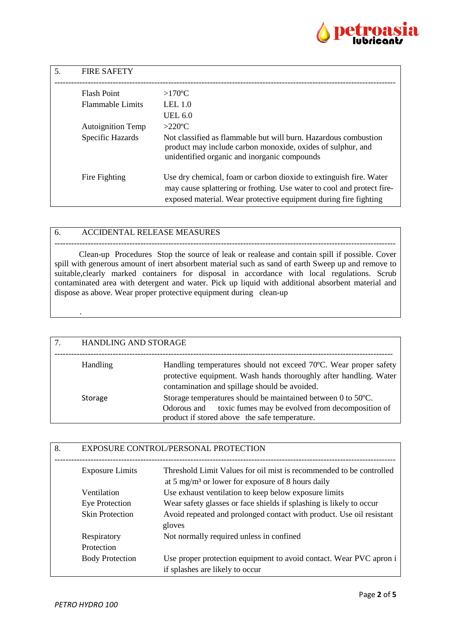

| .5. | <b>FIRE SAFETY</b>       |                                                                                                                                                                                                                  |
|-----|--------------------------|------------------------------------------------------------------------------------------------------------------------------------------------------------------------------------------------------------------|
|     | <b>Flash Point</b>       | $>170^{\circ}$ C                                                                                                                                                                                                 |
|     | <b>Flammable Limits</b>  | LEL $1.0$                                                                                                                                                                                                        |
|     |                          | UEL $6.0$                                                                                                                                                                                                        |
|     | <b>Autoignition Temp</b> | $>220$ °C                                                                                                                                                                                                        |
|     | Specific Hazards         | Not classified as flammable but will burn. Hazardous combustion<br>product may include carbon monoxide, oxides of sulphur, and<br>unidentified organic and inorganic compounds                                   |
|     | Fire Fighting            | Use dry chemical, foam or carbon dioxide to extinguish fire. Water<br>may cause splattering or frothing. Use water to cool and protect fire-<br>exposed material. Wear protective equipment during fire fighting |

### 6. ACCIDENTAL RELEASE MEASURES

--------------------------------------------------------------------------------------------------------------------------- Clean-up Procedures Stop the source of leak or realease and contain spill if possible. Cover spill with generous amount of inert absorbent material such as sand of earth Sweep up and remove to suitable, clearly marked containers for disposal in accordance with local regulations. Scrub contaminated area with detergent and water. Pick up liquid with additional absorbent material and dispose as above. Wear proper protective equipment during clean-up

| 7. | HANDLING AND STORAGE |                                                                                                                                                                                        |
|----|----------------------|----------------------------------------------------------------------------------------------------------------------------------------------------------------------------------------|
|    | Handling             | Handling temperatures should not exceed 70°C. Wear proper safety<br>protective equipment. Wash hands thoroughly after handling. Water<br>contamination and spillage should be avoided. |
|    | Storage              | Storage temperatures should be maintained between 0 to 50°C.<br>Odorous and toxic fumes may be evolved from decomposition of<br>product if stored above the safe temperature.          |

| 8. |                        | EXPOSURE CONTROL/PERSONAL PROTECTION                                                                                                 |
|----|------------------------|--------------------------------------------------------------------------------------------------------------------------------------|
|    | <b>Exposure Limits</b> | Threshold Limit Values for oil mist is recommended to be controlled<br>at 5 mg/m <sup>3</sup> or lower for exposure of 8 hours daily |
|    | Ventilation            | Use exhaust ventilation to keep below exposure limits                                                                                |
|    | Eye Protection         | Wear safety glasses or face shields if splashing is likely to occur                                                                  |
|    | <b>Skin Protection</b> | Avoid repeated and prolonged contact with product. Use oil resistant<br>gloves                                                       |
|    | Respiratory            | Not normally required unless in confined                                                                                             |
|    | Protection             |                                                                                                                                      |
|    | <b>Body Protection</b> | Use proper protection equipment to avoid contact. Wear PVC apron i<br>if splashes are likely to occur                                |

.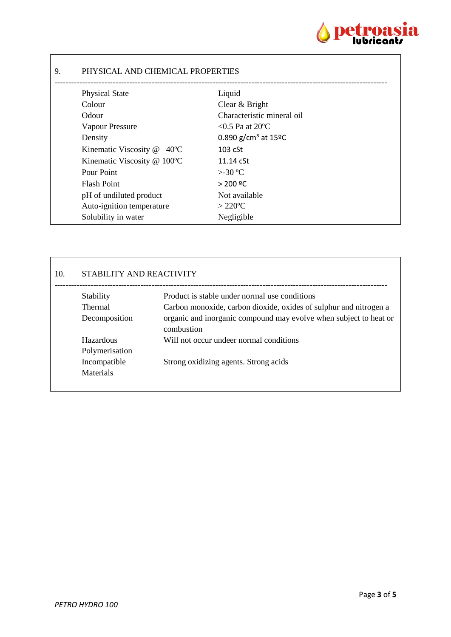

# 9. PHYSICAL AND CHEMICAL PROPERTIES

| <b>Physical State</b>                   | Liquid                                    |
|-----------------------------------------|-------------------------------------------|
| Colour                                  | Clear & Bright                            |
| Odour                                   | Characteristic mineral oil                |
| <b>Vapour Pressure</b>                  | $< 0.5$ Pa at 20 °C                       |
| Density                                 | 0.890 g/cm <sup>3</sup> at $15^{\circ}$ C |
| Kinematic Viscosity @<br>$40^{\circ}$ C | $103$ cSt                                 |
| Kinematic Viscosity @ 100°C             | $11.14 \text{ cSt}$                       |
| Pour Point                              | $>30^{\circ}$ C                           |
| <b>Flash Point</b>                      | > 200 °C                                  |
| pH of undiluted product                 | Not available                             |
| Auto-ignition temperature               | $>220^{\circ}$ C                          |
| Solubility in water                     | Negligible                                |
|                                         |                                           |

## 10. STABILITY AND REACTIVITY

| Stability        | Product is stable under normal use conditions                                   |
|------------------|---------------------------------------------------------------------------------|
| <b>Thermal</b>   | Carbon monoxide, carbon dioxide, oxides of sulphur and nitrogen a               |
| Decomposition    | organic and inorganic compound may evolve when subject to heat or<br>combustion |
| Hazardous        | Will not occur undeer normal conditions                                         |
| Polymerisation   |                                                                                 |
| Incompatible     | Strong oxidizing agents. Strong acids                                           |
| <b>Materials</b> |                                                                                 |
|                  |                                                                                 |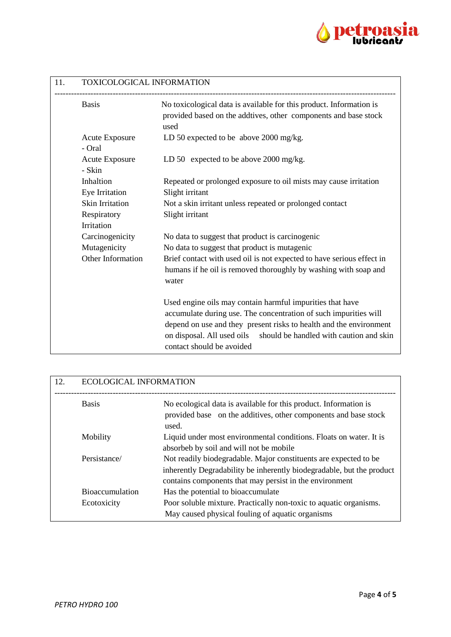

| 11. | TOXICOLOGICAL INFORMATION                            |                                                                                                                                                                                                                                                                                                           |  |
|-----|------------------------------------------------------|-----------------------------------------------------------------------------------------------------------------------------------------------------------------------------------------------------------------------------------------------------------------------------------------------------------|--|
|     | <b>Basis</b>                                         | No toxicological data is available for this product. Information is<br>provided based on the addtives, other components and base stock<br>used                                                                                                                                                            |  |
|     | <b>Acute Exposure</b><br>- Oral                      | LD 50 expected to be above 2000 mg/kg.                                                                                                                                                                                                                                                                    |  |
|     | <b>Acute Exposure</b><br>- Skin                      | LD 50 expected to be above 2000 mg/kg.                                                                                                                                                                                                                                                                    |  |
|     | Inhaltion<br>Eye Irritation                          | Repeated or prolonged exposure to oil mists may cause irritation<br>Slight irritant                                                                                                                                                                                                                       |  |
|     | <b>Skin Irritation</b><br>Respiratory                | Not a skin irritant unless repeated or prolonged contact<br>Slight irritant                                                                                                                                                                                                                               |  |
|     | Irritation                                           |                                                                                                                                                                                                                                                                                                           |  |
|     | Carcinogenicity<br>Mutagenicity<br>Other Information | No data to suggest that product is carcinogenic<br>No data to suggest that product is mutagenic<br>Brief contact with used oil is not expected to have serious effect in<br>humans if he oil is removed thoroughly by washing with soap and<br>water                                                      |  |
|     |                                                      | Used engine oils may contain harmful impurities that have<br>accumulate during use. The concentration of such impurities will<br>depend on use and they present risks to health and the environment<br>on disposal. All used oils<br>should be handled with caution and skin<br>contact should be avoided |  |

| 12. | <b>ECOLOGICAL INFORMATION</b> |                                                                                                                                                                                                      |
|-----|-------------------------------|------------------------------------------------------------------------------------------------------------------------------------------------------------------------------------------------------|
|     | <b>Basis</b>                  | No ecological data is available for this product. Information is<br>provided base on the additives, other components and base stock<br>used.                                                         |
|     | Mobility                      | Liquid under most environmental conditions. Floats on water. It is<br>absorbeb by soil and will not be mobile                                                                                        |
|     | Persistance/                  | Not readily biodegradable. Major constituents are expected to be<br>inherently Degradability be inherently biodegradable, but the product<br>contains components that may persist in the environment |
|     | <b>Bioaccumulation</b>        | Has the potential to bioaccumulate                                                                                                                                                                   |
|     | Ecotoxicity                   | Poor soluble mixture. Practically non-toxic to aquatic organisms.<br>May caused physical fouling of aquatic organisms                                                                                |